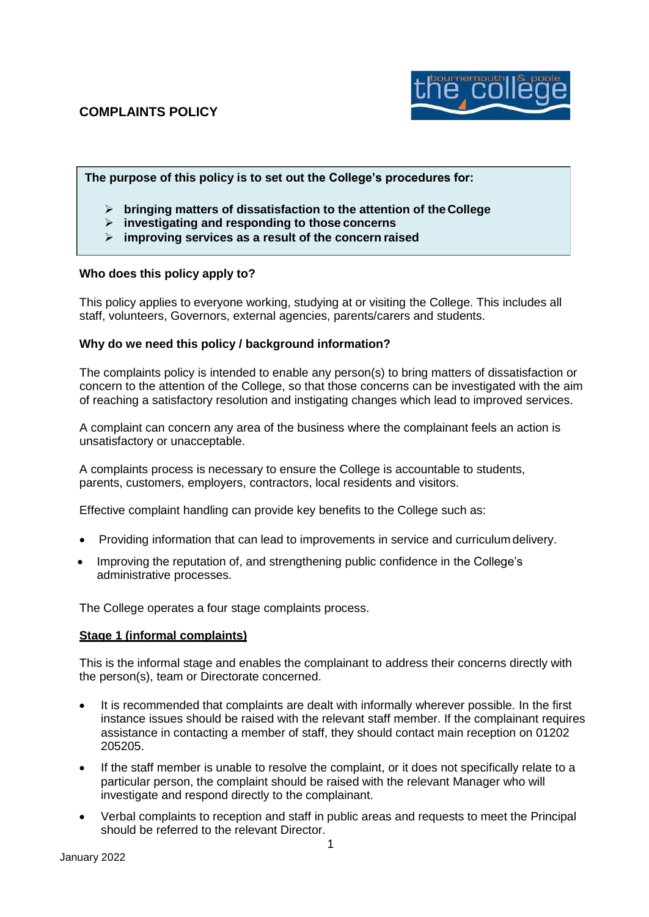

# **The purpose of this policy is to set out the College's procedures for:**

- ➢ **bringing matters of dissatisfaction to the attention of theCollege**
- ➢ **investigating and responding to those concerns**
- ➢ **improving services as a result of the concern raised**

# **Who does this policy apply to?**

This policy applies to everyone working, studying at or visiting the College. This includes all staff, volunteers, Governors, external agencies, parents/carers and students.

#### **Why do we need this policy / background information?**

The complaints policy is intended to enable any person(s) to bring matters of dissatisfaction or concern to the attention of the College, so that those concerns can be investigated with the aim of reaching a satisfactory resolution and instigating changes which lead to improved services.

A complaint can concern any area of the business where the complainant feels an action is unsatisfactory or unacceptable.

A complaints process is necessary to ensure the College is accountable to students, parents, customers, employers, contractors, local residents and visitors.

Effective complaint handling can provide key benefits to the College such as:

- Providing information that can lead to improvements in service and curriculum delivery.
- Improving the reputation of, and strengthening public confidence in the College's administrative processes.

The College operates a four stage complaints process.

# **Stage 1 (informal complaints)**

This is the informal stage and enables the complainant to address their concerns directly with the person(s), team or Directorate concerned.

- It is recommended that complaints are dealt with informally wherever possible. In the first instance issues should be raised with the relevant staff member. If the complainant requires assistance in contacting a member of staff, they should contact main reception on 01202 205205.
- If the staff member is unable to resolve the complaint, or it does not specifically relate to a particular person, the complaint should be raised with the relevant Manager who will investigate and respond directly to the complainant.
- Verbal complaints to reception and staff in public areas and requests to meet the Principal should be referred to the relevant Director.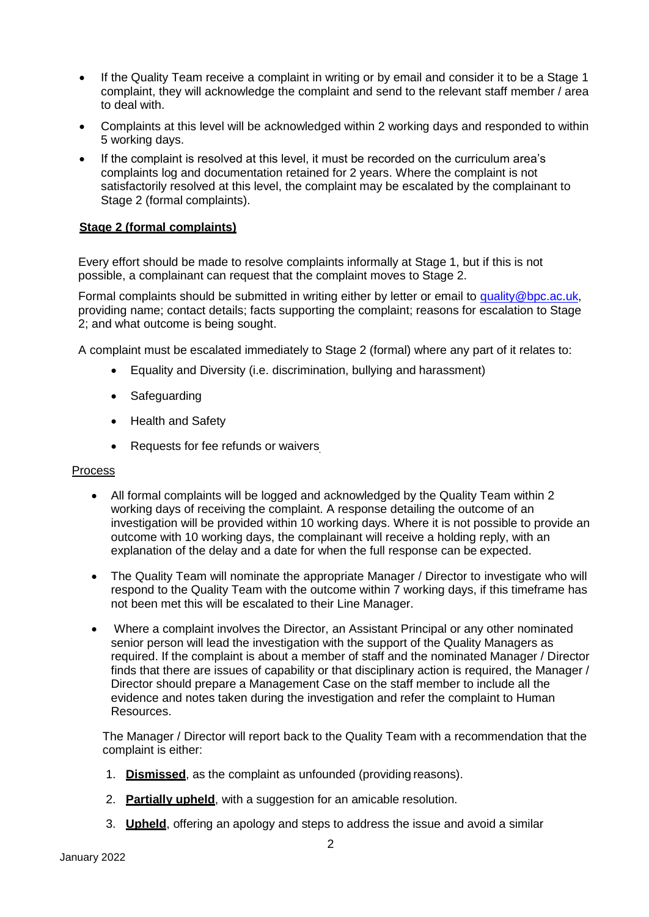- If the Quality Team receive a complaint in writing or by email and consider it to be a Stage 1 complaint, they will acknowledge the complaint and send to the relevant staff member / area to deal with.
- Complaints at this level will be acknowledged within 2 working days and responded to within 5 working days.
- If the complaint is resolved at this level, it must be recorded on the curriculum area's complaints log and documentation retained for 2 years. Where the complaint is not satisfactorily resolved at this level, the complaint may be escalated by the complainant to Stage 2 (formal complaints).

# **Stage 2 (formal complaints)**

Every effort should be made to resolve complaints informally at Stage 1, but if this is not possible, a complainant can request that the complaint moves to Stage 2.

Formal complaints should be submitted in writing either by letter or email to [quality@bpc.ac.uk,](mailto:quality@bpc.ac.uk) providing name; contact details; facts supporting the complaint; reasons for escalation to Stage 2; and what outcome is being sought.

A complaint must be escalated immediately to Stage 2 (formal) where any part of it relates to:

- Equality and Diversity (i.e. discrimination, bullying and harassment)
- Safeguarding
- Health and Safety
- Requests for fee refunds or waivers

#### Process

- All formal complaints will be logged and acknowledged by the Quality Team within 2 working days of receiving the complaint. A response detailing the outcome of an investigation will be provided within 10 working days. Where it is not possible to provide an outcome with 10 working days, the complainant will receive a holding reply, with an explanation of the delay and a date for when the full response can be expected.
- The Quality Team will nominate the appropriate Manager / Director to investigate who will respond to the Quality Team with the outcome within 7 working days, if this timeframe has not been met this will be escalated to their Line Manager.
- Where a complaint involves the Director, an Assistant Principal or any other nominated senior person will lead the investigation with the support of the Quality Managers as required. If the complaint is about a member of staff and the nominated Manager / Director finds that there are issues of capability or that disciplinary action is required, the Manager / Director should prepare a Management Case on the staff member to include all the evidence and notes taken during the investigation and refer the complaint to Human Resources.

The Manager / Director will report back to the Quality Team with a recommendation that the complaint is either:

- 1. **Dismissed**, as the complaint as unfounded (providing reasons).
- 2. **Partially upheld**, with a suggestion for an amicable resolution.
- 3. **Upheld**, offering an apology and steps to address the issue and avoid a similar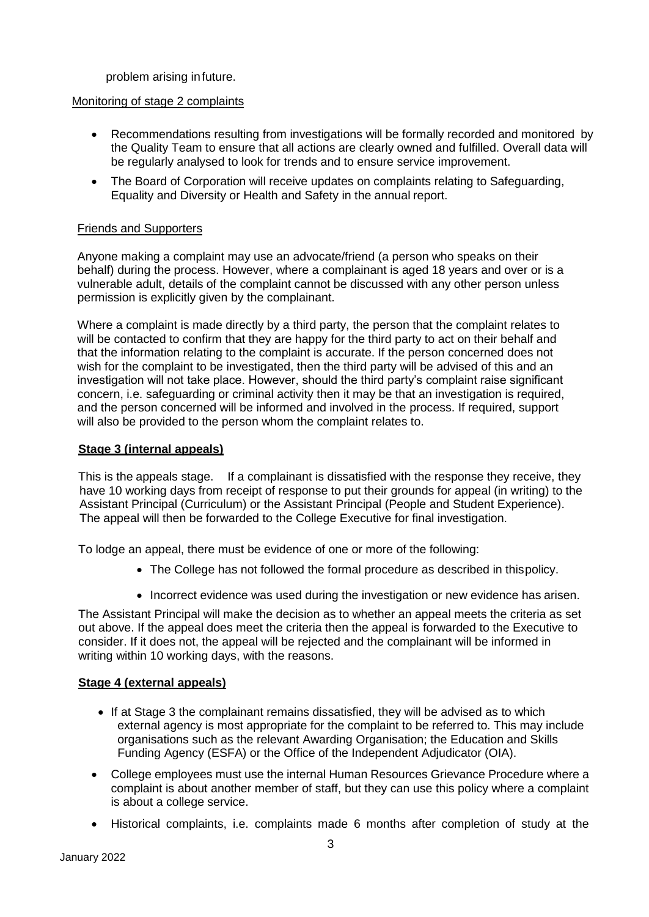problem arising infuture.

# Monitoring of stage 2 complaints

- Recommendations resulting from investigations will be formally recorded and monitored by the Quality Team to ensure that all actions are clearly owned and fulfilled. Overall data will be regularly analysed to look for trends and to ensure service improvement.
- The Board of Corporation will receive updates on complaints relating to Safeguarding, Equality and Diversity or Health and Safety in the annual report.

# Friends and Supporters

Anyone making a complaint may use an advocate/friend (a person who speaks on their behalf) during the process. However, where a complainant is aged 18 years and over or is a vulnerable adult, details of the complaint cannot be discussed with any other person unless permission is explicitly given by the complainant.

Where a complaint is made directly by a third party, the person that the complaint relates to will be contacted to confirm that they are happy for the third party to act on their behalf and that the information relating to the complaint is accurate. If the person concerned does not wish for the complaint to be investigated, then the third party will be advised of this and an investigation will not take place. However, should the third party's complaint raise significant concern, i.e. safeguarding or criminal activity then it may be that an investigation is required, and the person concerned will be informed and involved in the process. If required, support will also be provided to the person whom the complaint relates to.

# **Stage 3 (internal appeals)**

This is the appeals stage. If a complainant is dissatisfied with the response they receive, they have 10 working days from receipt of response to put their grounds for appeal (in writing) to the Assistant Principal (Curriculum) or the Assistant Principal (People and Student Experience). The appeal will then be forwarded to the College Executive for final investigation.

To lodge an appeal, there must be evidence of one or more of the following:

- The College has not followed the formal procedure as described in thispolicy.
- Incorrect evidence was used during the investigation or new evidence has arisen.

The Assistant Principal will make the decision as to whether an appeal meets the criteria as set out above. If the appeal does meet the criteria then the appeal is forwarded to the Executive to consider. If it does not, the appeal will be rejected and the complainant will be informed in writing within 10 working days, with the reasons.

# **Stage 4 (external appeals)**

- If at Stage 3 the complainant remains dissatisfied, they will be advised as to which external agency is most appropriate for the complaint to be referred to. This may include organisations such as the relevant Awarding Organisation; the Education and Skills Funding Agency (ESFA) or the Office of the Independent Adjudicator (OIA).
- College employees must use the internal Human Resources Grievance Procedure where a complaint is about another member of staff, but they can use this policy where a complaint is about a college service.
- Historical complaints, i.e. complaints made 6 months after completion of study at the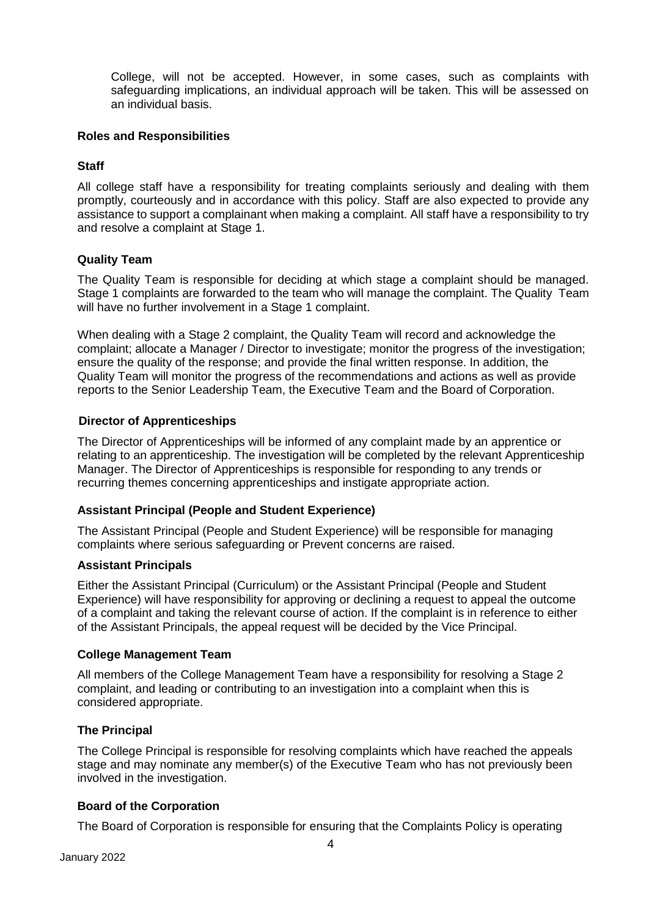College, will not be accepted. However, in some cases, such as complaints with safeguarding implications, an individual approach will be taken. This will be assessed on an individual basis.

## **Roles and Responsibilities**

#### **Staff**

All college staff have a responsibility for treating complaints seriously and dealing with them promptly, courteously and in accordance with this policy. Staff are also expected to provide any assistance to support a complainant when making a complaint. All staff have a responsibility to try and resolve a complaint at Stage 1.

#### **Quality Team**

The Quality Team is responsible for deciding at which stage a complaint should be managed. Stage 1 complaints are forwarded to the team who will manage the complaint. The Quality Team will have no further involvement in a Stage 1 complaint.

When dealing with a Stage 2 complaint, the Quality Team will record and acknowledge the complaint; allocate a Manager / Director to investigate; monitor the progress of the investigation; ensure the quality of the response; and provide the final written response. In addition, the Quality Team will monitor the progress of the recommendations and actions as well as provide reports to the Senior Leadership Team, the Executive Team and the Board of Corporation.

#### **Director of Apprenticeships**

The Director of Apprenticeships will be informed of any complaint made by an apprentice or relating to an apprenticeship. The investigation will be completed by the relevant Apprenticeship Manager. The Director of Apprenticeships is responsible for responding to any trends or recurring themes concerning apprenticeships and instigate appropriate action.

# **Assistant Principal (People and Student Experience)**

The Assistant Principal (People and Student Experience) will be responsible for managing complaints where serious safeguarding or Prevent concerns are raised.

#### **Assistant Principals**

Either the Assistant Principal (Curriculum) or the Assistant Principal (People and Student Experience) will have responsibility for approving or declining a request to appeal the outcome of a complaint and taking the relevant course of action. If the complaint is in reference to either of the Assistant Principals, the appeal request will be decided by the Vice Principal.

#### **College Management Team**

All members of the College Management Team have a responsibility for resolving a Stage 2 complaint, and leading or contributing to an investigation into a complaint when this is considered appropriate.

# **The Principal**

The College Principal is responsible for resolving complaints which have reached the appeals stage and may nominate any member(s) of the Executive Team who has not previously been involved in the investigation.

# **Board of the Corporation**

The Board of Corporation is responsible for ensuring that the Complaints Policy is operating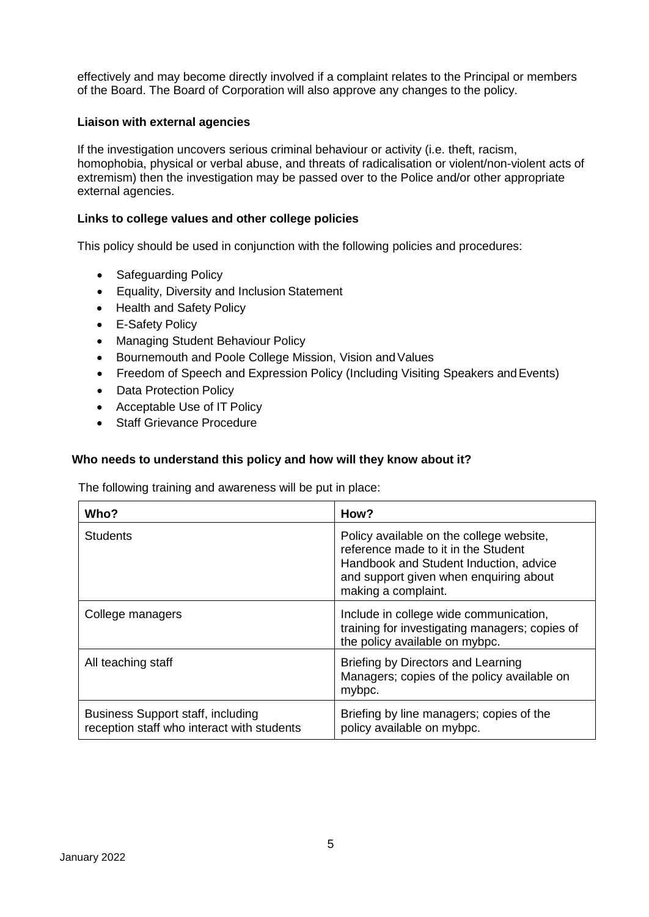effectively and may become directly involved if a complaint relates to the Principal or members of the Board. The Board of Corporation will also approve any changes to the policy.

#### **Liaison with external agencies**

If the investigation uncovers serious criminal behaviour or activity (i.e. theft, racism, homophobia, physical or verbal abuse, and threats of radicalisation or violent/non-violent acts of extremism) then the investigation may be passed over to the Police and/or other appropriate external agencies.

#### **Links to college values and other college policies**

This policy should be used in conjunction with the following policies and procedures:

- Safeguarding Policy
- Equality, Diversity and Inclusion Statement
- Health and Safety Policy
- E-Safety Policy
- Managing Student Behaviour Policy
- Bournemouth and Poole College Mission, Vision and Values
- Freedom of Speech and Expression Policy (Including Visiting Speakers and Events)
- Data Protection Policy
- Acceptable Use of IT Policy
- Staff Grievance Procedure

#### **Who needs to understand this policy and how will they know about it?**

The following training and awareness will be put in place:

| Who?                                                                                   | How?                                                                                                                                                                                       |
|----------------------------------------------------------------------------------------|--------------------------------------------------------------------------------------------------------------------------------------------------------------------------------------------|
| <b>Students</b>                                                                        | Policy available on the college website,<br>reference made to it in the Student<br>Handbook and Student Induction, advice<br>and support given when enquiring about<br>making a complaint. |
| College managers                                                                       | Include in college wide communication,<br>training for investigating managers; copies of<br>the policy available on mybpc.                                                                 |
| All teaching staff                                                                     | Briefing by Directors and Learning<br>Managers; copies of the policy available on<br>mybpc.                                                                                                |
| <b>Business Support staff, including</b><br>reception staff who interact with students | Briefing by line managers; copies of the<br>policy available on mybpc.                                                                                                                     |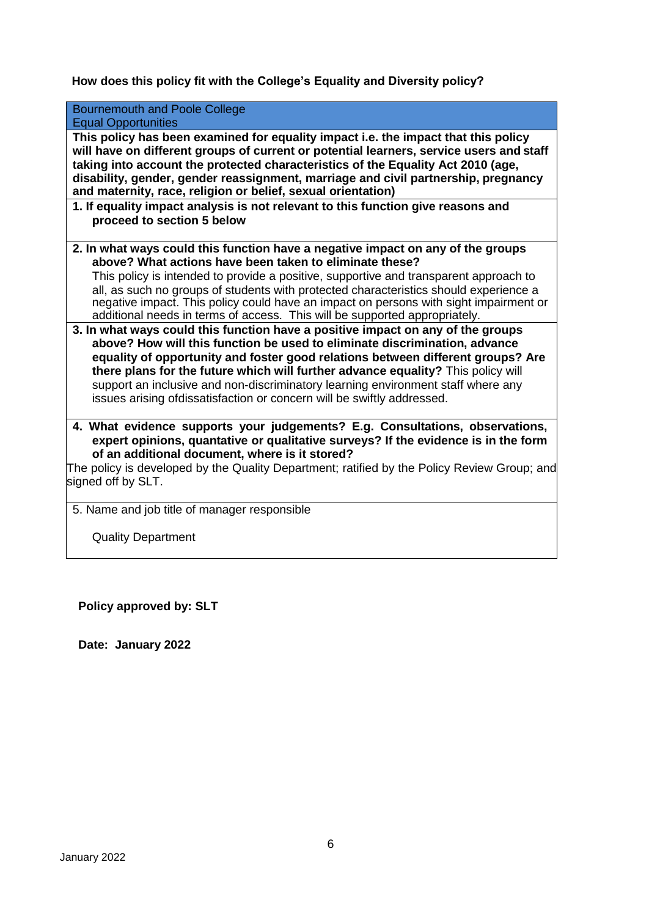**How does this policy fit with the College's Equality and Diversity policy?**

| <b>Bournemouth and Poole College</b>                                                                                                                                                                                                                                                                                                                                                                                                                                                                                                                                                                                                                                                                                                                                                                                                                                                                                                                                                                      |
|-----------------------------------------------------------------------------------------------------------------------------------------------------------------------------------------------------------------------------------------------------------------------------------------------------------------------------------------------------------------------------------------------------------------------------------------------------------------------------------------------------------------------------------------------------------------------------------------------------------------------------------------------------------------------------------------------------------------------------------------------------------------------------------------------------------------------------------------------------------------------------------------------------------------------------------------------------------------------------------------------------------|
| <b>Equal Opportunities</b>                                                                                                                                                                                                                                                                                                                                                                                                                                                                                                                                                                                                                                                                                                                                                                                                                                                                                                                                                                                |
| This policy has been examined for equality impact i.e. the impact that this policy<br>will have on different groups of current or potential learners, service users and staff<br>taking into account the protected characteristics of the Equality Act 2010 (age,<br>disability, gender, gender reassignment, marriage and civil partnership, pregnancy<br>and maternity, race, religion or belief, sexual orientation)                                                                                                                                                                                                                                                                                                                                                                                                                                                                                                                                                                                   |
| 1. If equality impact analysis is not relevant to this function give reasons and                                                                                                                                                                                                                                                                                                                                                                                                                                                                                                                                                                                                                                                                                                                                                                                                                                                                                                                          |
| proceed to section 5 below                                                                                                                                                                                                                                                                                                                                                                                                                                                                                                                                                                                                                                                                                                                                                                                                                                                                                                                                                                                |
| 2. In what ways could this function have a negative impact on any of the groups<br>above? What actions have been taken to eliminate these?<br>This policy is intended to provide a positive, supportive and transparent approach to<br>all, as such no groups of students with protected characteristics should experience a<br>negative impact. This policy could have an impact on persons with sight impairment or<br>additional needs in terms of access. This will be supported appropriately.<br>3. In what ways could this function have a positive impact on any of the groups<br>above? How will this function be used to eliminate discrimination, advance<br>equality of opportunity and foster good relations between different groups? Are<br>there plans for the future which will further advance equality? This policy will<br>support an inclusive and non-discriminatory learning environment staff where any<br>issues arising ofdissatisfaction or concern will be swiftly addressed. |
| 4. What evidence supports your judgements? E.g. Consultations, observations,<br>expert opinions, quantative or qualitative surveys? If the evidence is in the form<br>of an additional document, where is it stored?<br>The policy is developed by the Quality Department; ratified by the Policy Review Group; and<br>signed off by SLT.                                                                                                                                                                                                                                                                                                                                                                                                                                                                                                                                                                                                                                                                 |
| 5. Name and job title of manager responsible                                                                                                                                                                                                                                                                                                                                                                                                                                                                                                                                                                                                                                                                                                                                                                                                                                                                                                                                                              |

Quality Department

**Policy approved by: SLT**

**Date: January 2022**